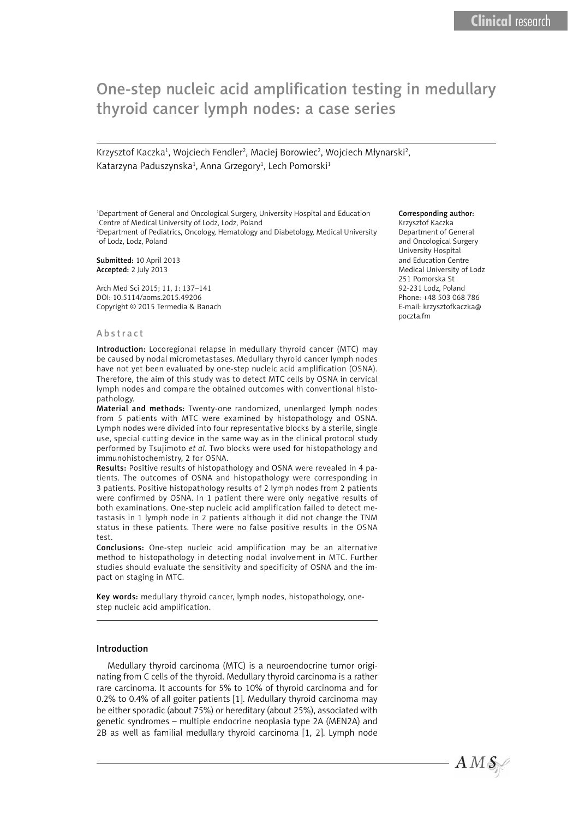# One-step nucleic acid amplification testing in medullary thyroid cancer lymph nodes: a case series

Krzysztof Kaczka<sup>1</sup>, Wojciech Fendler<sup>2</sup>, Maciej Borowiec<sup>2</sup>, Wojciech Młynarski<sup>2</sup>, Katarzyna Paduszynska<sup>1</sup>, Anna Grzegory<sup>1</sup>, Lech Pomorski<sup>1</sup>

<sup>1</sup>Department of General and Oncological Surgery, University Hospital and Education Centre of Medical University of Lodz, Lodz, Poland

2 Department of Pediatrics, Oncology, Hematology and Diabetology, Medical University of Lodz, Lodz, Poland

Submitted: 10 April 2013 Accepted: 2 July 2013

Arch Med Sci 2015; 11, 1: 137–141 DOI: 10.5114/aoms.2015.49206 Copyright © 2015 Termedia & Banach

#### Abstract

Introduction: Locoregional relapse in medullary thyroid cancer (MTC) may be caused by nodal micrometastases. Medullary thyroid cancer lymph nodes have not yet been evaluated by one-step nucleic acid amplification (OSNA). Therefore, the aim of this study was to detect MTC cells by OSNA in cervical lymph nodes and compare the obtained outcomes with conventional histopathology.

Material and methods: Twenty-one randomized, unenlarged lymph nodes from 5 patients with MTC were examined by histopathology and OSNA. Lymph nodes were divided into four representative blocks by a sterile, single use, special cutting device in the same way as in the clinical protocol study performed by Tsujimoto *et al.* Two blocks were used for histopathology and immunohistochemistry, 2 for OSNA.

Results: Positive results of histopathology and OSNA were revealed in 4 patients. The outcomes of OSNA and histopathology were corresponding in 3 patients. Positive histopathology results of 2 lymph nodes from 2 patients were confirmed by OSNA. In 1 patient there were only negative results of both examinations. One-step nucleic acid amplification failed to detect metastasis in 1 lymph node in 2 patients although it did not change the TNM status in these patients. There were no false positive results in the OSNA test.

Conclusions: One-step nucleic acid amplification may be an alternative method to histopathology in detecting nodal involvement in MTC. Further studies should evaluate the sensitivity and specificity of OSNA and the impact on staging in MTC.

Key words: medullary thyroid cancer, lymph nodes, histopathology, onestep nucleic acid amplification.

#### Introduction

Medullary thyroid carcinoma (MTC) is a neuroendocrine tumor originating from C cells of the thyroid. Medullary thyroid carcinoma is a rather rare carcinoma. It accounts for 5% to 10% of thyroid carcinoma and for 0.2% to 0.4% of all goiter patients [1]. Medullary thyroid carcinoma may be either sporadic (about 75%) or hereditary (about 25%), associated with genetic syndromes – multiple endocrine neoplasia type 2A (MEN2A) and 2B as well as familial medullary thyroid carcinoma [1, 2]. Lymph node

#### Corresponding author:

Krzysztof Kaczka Department of General and Oncological Surgery University Hospital and Education Centre Medical University of Lodz 251 Pomorska St 92-231 Lodz, Poland Phone: +48 503 068 786 E-mail: krzysztofkaczka@ poczta.fm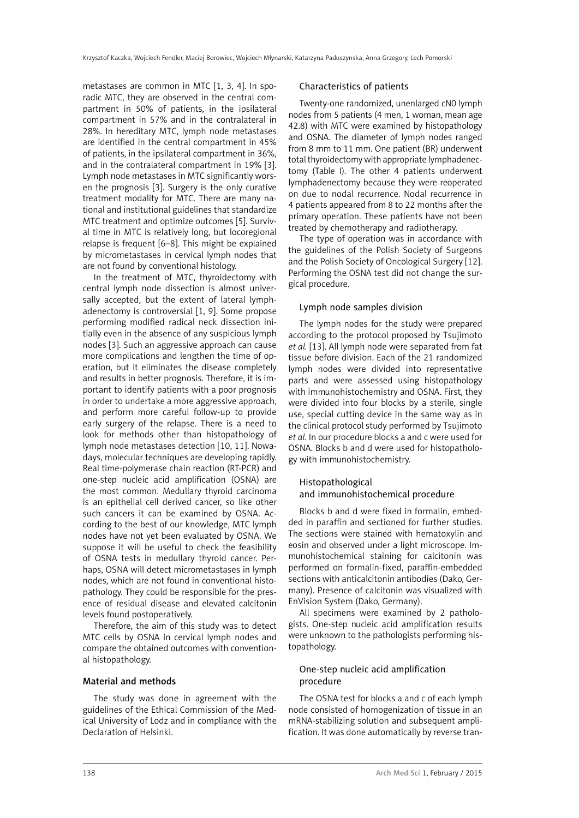metastases are common in MTC [1, 3, 4]. In sporadic MTC, they are observed in the central compartment in 50% of patients, in the ipsilateral compartment in 57% and in the contralateral in 28%. In hereditary MTC, lymph node metastases are identified in the central compartment in 45% of patients, in the ipsilateral compartment in 36%, and in the contralateral compartment in 19% [3]. Lymph node metastases in MTC significantly worsen the prognosis [3]. Surgery is the only curative treatment modality for MTC. There are many national and institutional guidelines that standardize MTC treatment and optimize outcomes [5]. Survival time in MTC is relatively long, but locoregional relapse is frequent [6–8]. This might be explained by micrometastases in cervical lymph nodes that are not found by conventional histology.

In the treatment of MTC, thyroidectomy with central lymph node dissection is almost universally accepted, but the extent of lateral lymphadenectomy is controversial [1, 9]. Some propose performing modified radical neck dissection initially even in the absence of any suspicious lymph nodes [3]. Such an aggressive approach can cause more complications and lengthen the time of operation, but it eliminates the disease completely and results in better prognosis. Therefore, it is important to identify patients with a poor prognosis in order to undertake a more aggressive approach, and perform more careful follow-up to provide early surgery of the relapse. There is a need to look for methods other than histopathology of lymph node metastases detection [10, 11]. Nowadays, molecular techniques are developing rapidly. Real time-polymerase chain reaction (RT-PCR) and one-step nucleic acid amplification (OSNA) are the most common. Medullary thyroid carcinoma is an epithelial cell derived cancer, so like other such cancers it can be examined by OSNA. According to the best of our knowledge, MTC lymph nodes have not yet been evaluated by OSNA. We suppose it will be useful to check the feasibility of OSNA tests in medullary thyroid cancer. Perhaps, OSNA will detect micrometastases in lymph nodes, which are not found in conventional histopathology. They could be responsible for the presence of residual disease and elevated calcitonin levels found postoperatively.

Therefore, the aim of this study was to detect MTC cells by OSNA in cervical lymph nodes and compare the obtained outcomes with conventional histopathology.

## Material and methods

The study was done in agreement with the guidelines of the Ethical Commission of the Medical University of Lodz and in compliance with the Declaration of Helsinki.

## Characteristics of patients

Twenty-one randomized, unenlarged cN0 lymph nodes from 5 patients (4 men, 1 woman, mean age 42.8) with MTC were examined by histopathology and OSNA. The diameter of lymph nodes ranged from 8 mm to 11 mm. One patient (BR) underwent total thyroidectomy with appropriate lymphadenectomy (Table I). The other 4 patients underwent lymphadenectomy because they were reoperated on due to nodal recurrence. Nodal recurrence in 4 patients appeared from 8 to 22 months after the primary operation. These patients have not been treated by chemotherapy and radiotherapy.

The type of operation was in accordance with the guidelines of the Polish Society of Surgeons and the Polish Society of Oncological Surgery [12]. Performing the OSNA test did not change the surgical procedure.

### Lymph node samples division

The lymph nodes for the study were prepared according to the protocol proposed by Tsujimoto *et al.* [13]. All lymph node were separated from fat tissue before division. Each of the 21 randomized lymph nodes were divided into representative parts and were assessed using histopathology with immunohistochemistry and OSNA. First, they were divided into four blocks by a sterile, single use, special cutting device in the same way as in the clinical protocol study performed by Tsujimoto *et al.* In our procedure blocks a and c were used for OSNA. Blocks b and d were used for histopathology with immunohistochemistry.

## Histopathological and immunohistochemical procedure

Blocks b and d were fixed in formalin, embedded in paraffin and sectioned for further studies. The sections were stained with hematoxylin and eosin and observed under a light microscope. Immunohistochemical staining for calcitonin was performed on formalin-fixed, paraffin-embedded sections with anticalcitonin antibodies (Dako, Germany). Presence of calcitonin was visualized with EnVision System (Dako, Germany).

All specimens were examined by 2 pathologists. One-step nucleic acid amplification results were unknown to the pathologists performing histopathology.

## One-step nucleic acid amplification procedure

The OSNA test for blocks a and c of each lymph node consisted of homogenization of tissue in an mRNA-stabilizing solution and subsequent amplification. It was done automatically by reverse tran-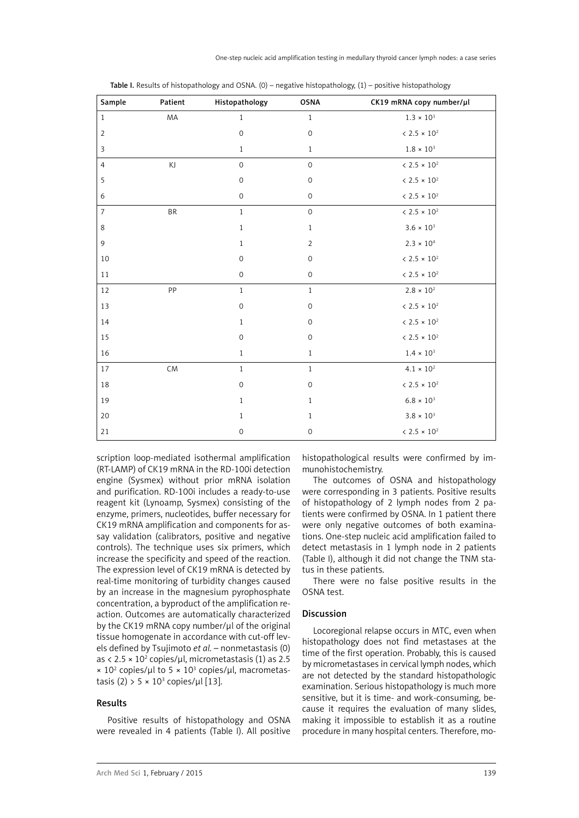| Sample         | Patient | Histopathology      | <b>OSNA</b>         | CK19 mRNA copy number/µl |
|----------------|---------|---------------------|---------------------|--------------------------|
| $\mathbf{1}$   | MA      | $\mathbf{1}$        | $\mathbf{1}$        | $1.3\times10^3$          |
| $\overline{2}$ |         | $\mathsf{O}\xspace$ | $\mathsf{O}\xspace$ | $< 2.5 \times 10^2$      |
| 3              |         | $\mathbf{1}$        | $\mathbf{1}$        | $1.8\times10^3$          |
| $\overline{4}$ | KJ      | $\mathsf{O}\xspace$ | $\mathsf{O}\xspace$ | $< 2.5 \times 10^2$      |
| 5              |         | $\mathsf{O}\xspace$ | $\mathsf{O}\xspace$ | $< 2.5 \times 10^2$      |
| 6              |         | $\mathsf{O}\xspace$ | $\mathsf{O}\xspace$ | $< 2.5 \times 10^2$      |
| $\overline{7}$ | BR      | $\mathbf{1}$        | $\mathsf{O}\xspace$ | $< 2.5 \times 10^2$      |
| 8              |         | $\mathbf{1}$        | $\mathbf{1}$        | $3.6 \times 10^{3}$      |
| $\mathsf 9$    |         | $\mathbf{1}$        | $\overline{2}$      | $2.3 \times 10^{4}$      |
| $10\,$         |         | $\mathsf{O}\xspace$ | $\mathsf{O}\xspace$ | $< 2.5 \times 10^2$      |
| 11             |         | $\mathsf{O}\xspace$ | $\mathsf{O}\xspace$ | $< 2.5 \times 10^2$      |
| 12             | PP      | $\mathbf{1}$        | $\mathbf{1}$        | $2.8 \times 10^{2}$      |
| 13             |         | $\mathbf 0$         | $\mathsf{O}\xspace$ | $< 2.5 \times 10^2$      |
| 14             |         | $\mathbf{1}$        | $\mathsf{O}\xspace$ | $< 2.5 \times 10^2$      |
| 15             |         | $\mathsf{O}\xspace$ | $\mathsf{O}\xspace$ | $< 2.5 \times 10^2$      |
| 16             |         | $\mathbf{1}$        | $\mathbf{1}$        | $1.4 \times 10^{3}$      |
| 17             | CM      | $\mathbf{1}$        | $1\,$               | $4.1 \times 10^{2}$      |
| 18             |         | $\mathsf{O}\xspace$ | $\mathsf{O}\xspace$ | $< 2.5 \times 10^2$      |
| 19             |         | $\mathbf{1}$        | $\mathbf{1}$        | $6.8 \times 10^{3}$      |
| 20             |         | $1\,$               | $\mathbf{1}$        | $3.8 \times 10^{3}$      |
| 21             |         | $\mathbf 0$         | $\mathsf{O}\xspace$ | $< 2.5 \times 10^2$      |

Table I. Results of histopathology and OSNA.  $(0)$  – negative histopathology,  $(1)$  – positive histopathology

scription loop-mediated isothermal amplification (RT-LAMP) of CK19 mRNA in the RD-100i detection engine (Sysmex) without prior mRNA isolation and purification. RD-100i includes a ready-to-use reagent kit (Lynoamp, Sysmex) consisting of the enzyme, primers, nucleotides, buffer necessary for CK19 mRNA amplification and components for assay validation (calibrators, positive and negative controls). The technique uses six primers, which increase the specificity and speed of the reaction. The expression level of CK19 mRNA is detected by real-time monitoring of turbidity changes caused by an increase in the magnesium pyrophosphate concentration, a byproduct of the amplification reaction. Outcomes are automatically characterized by the CK19 mRNA copy number/μl of the original tissue homogenate in accordance with cut-off levels defined by Tsujimoto *et al.* – nonmetastasis (0) as < 2.5  $\times$  10<sup>2</sup> copies/µl, micrometastasis (1) as 2.5  $\times$  10<sup>2</sup> copies/µl to 5  $\times$  10<sup>3</sup> copies/µl, macrometastasis (2) > 5 × 10<sup>3</sup> copies/µl [13].

## Results

Positive results of histopathology and OSNA were revealed in 4 patients (Table I). All positive histopathological results were confirmed by immunohistochemistry.

The outcomes of OSNA and histopathology were corresponding in 3 patients. Positive results of histopathology of 2 lymph nodes from 2 patients were confirmed by OSNA. In 1 patient there were only negative outcomes of both examinations. One-step nucleic acid amplification failed to detect metastasis in 1 lymph node in 2 patients (Table I), although it did not change the TNM status in these patients.

There were no false positive results in the OSNA test.

## Discussion

Locoregional relapse occurs in MTC, even when histopathology does not find metastases at the time of the first operation. Probably, this is caused by micrometastases in cervical lymph nodes, which are not detected by the standard histopathologic examination. Serious histopathology is much more sensitive, but it is time- and work-consuming, because it requires the evaluation of many slides, making it impossible to establish it as a routine procedure in many hospital centers. Therefore, mo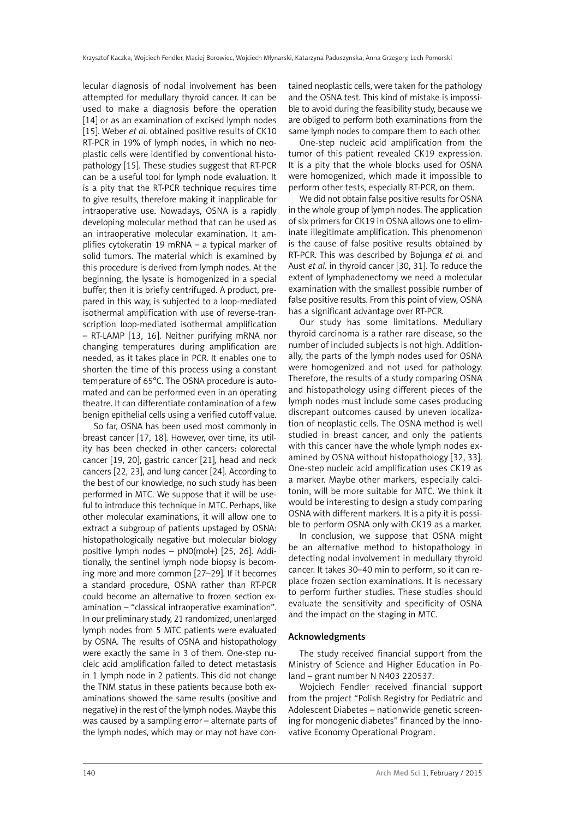lecular diagnosis of nodal involvement has been attempted for medullary thyroid cancer. It can be used to make a diagnosis before the operation [14] or as an examination of excised lymph nodes [15]. Weber *et al.* obtained positive results of CK10 RT-PCR in 19% of lymph nodes, in which no neoplastic cells were identified by conventional histopathology [15]. These studies suggest that RT-PCR can be a useful tool for lymph node evaluation. It is a pity that the RT-PCR technique requires time to give results, therefore making it inapplicable for intraoperative use. Nowadays, OSNA is a rapidly developing molecular method that can be used as an intraoperative molecular examination. It amplifies cytokeratin 19 mRNA – a typical marker of solid tumors. The material which is examined by this procedure is derived from lymph nodes. At the beginning, the lysate is homogenized in a special buffer, then it is briefly centrifuged. A product, prepared in this way, is subjected to a loop-mediated isothermal amplification with use of reverse-transcription loop-mediated isothermal amplification – RT-LAMP [13, 16]. Neither purifying mRNA nor changing temperatures during amplification are needed, as it takes place in PCR. It enables one to shorten the time of this process using a constant temperature of 65°C. The OSNA procedure is automated and can be performed even in an operating theatre. It can differentiate contamination of a few benign epithelial cells using a verified cutoff value.

So far, OSNA has been used most commonly in breast cancer [17, 18]. However, over time, its utility has been checked in other cancers: colorectal cancer [19, 20], gastric cancer [21], head and neck cancers [22, 23], and lung cancer [24]. According to the best of our knowledge, no such study has been performed in MTC. We suppose that it will be useful to introduce this technique in MTC. Perhaps, like other molecular examinations, it will allow one to extract a subgroup of patients upstaged by OSNA: histopathologically negative but molecular biology positive lymph nodes – pN0(mol+) [25, 26]. Additionally, the sentinel lymph node biopsy is becoming more and more common [27–29]. If it becomes a standard procedure, OSNA rather than RT-PCR could become an alternative to frozen section examination – "classical intraoperative examination". In our preliminary study, 21 randomized, unenlarged lymph nodes from 5 MTC patients were evaluated by OSNA. The results of OSNA and histopathology were exactly the same in 3 of them. One-step nucleic acid amplification failed to detect metastasis in 1 lymph node in 2 patients. This did not change the TNM status in these patients because both examinations showed the same results (positive and negative) in the rest of the lymph nodes. Maybe this was caused by a sampling error – alternate parts of the lymph nodes, which may or may not have contained neoplastic cells, were taken for the pathology and the OSNA test. This kind of mistake is impossible to avoid during the feasibility study, because we are obliged to perform both examinations from the same lymph nodes to compare them to each other.

One-step nucleic acid amplification from the tumor of this patient revealed CK19 expression. It is a pity that the whole blocks used for OSNA were homogenized, which made it impossible to perform other tests, especially RT-PCR, on them.

We did not obtain false positive results for OSNA in the whole group of lymph nodes. The application of six primers for CK19 in OSNA allows one to eliminate illegitimate amplification. This phenomenon is the cause of false positive results obtained by RT-PCR. This was described by Bojunga *et al.* and Aust *et al.* in thyroid cancer [30, 31]. To reduce the extent of lymphadenectomy we need a molecular examination with the smallest possible number of false positive results. From this point of view, OSNA has a significant advantage over RT-PCR.

Our study has some limitations. Medullary thyroid carcinoma is a rather rare disease, so the number of included subjects is not high. Additionally, the parts of the lymph nodes used for OSNA were homogenized and not used for pathology. Therefore, the results of a study comparing OSNA and histopathology using different pieces of the lymph nodes must include some cases producing discrepant outcomes caused by uneven localization of neoplastic cells. The OSNA method is well studied in breast cancer, and only the patients with this cancer have the whole lymph nodes examined by OSNA without histopathology [32, 33]. One-step nucleic acid amplification uses CK19 as a marker. Maybe other markers, especially calcitonin, will be more suitable for MTC. We think it would be interesting to design a study comparing OSNA with different markers. It is a pity it is possible to perform OSNA only with CK19 as a marker.

In conclusion, we suppose that OSNA might be an alternative method to histopathology in detecting nodal involvement in medullary thyroid cancer. It takes 30–40 min to perform, so it can replace frozen section examinations. It is necessary to perform further studies. These studies should evaluate the sensitivity and specificity of OSNA and the impact on the staging in MTC.

## Acknowledgments

The study received financial support from the Ministry of Science and Higher Education in Poland – grant number N N403 220537.

Wojciech Fendler received financial support from the project "Polish Registry for Pediatric and Adolescent Diabetes – nationwide genetic screening for monogenic diabetes" financed by the Innovative Economy Operational Program.